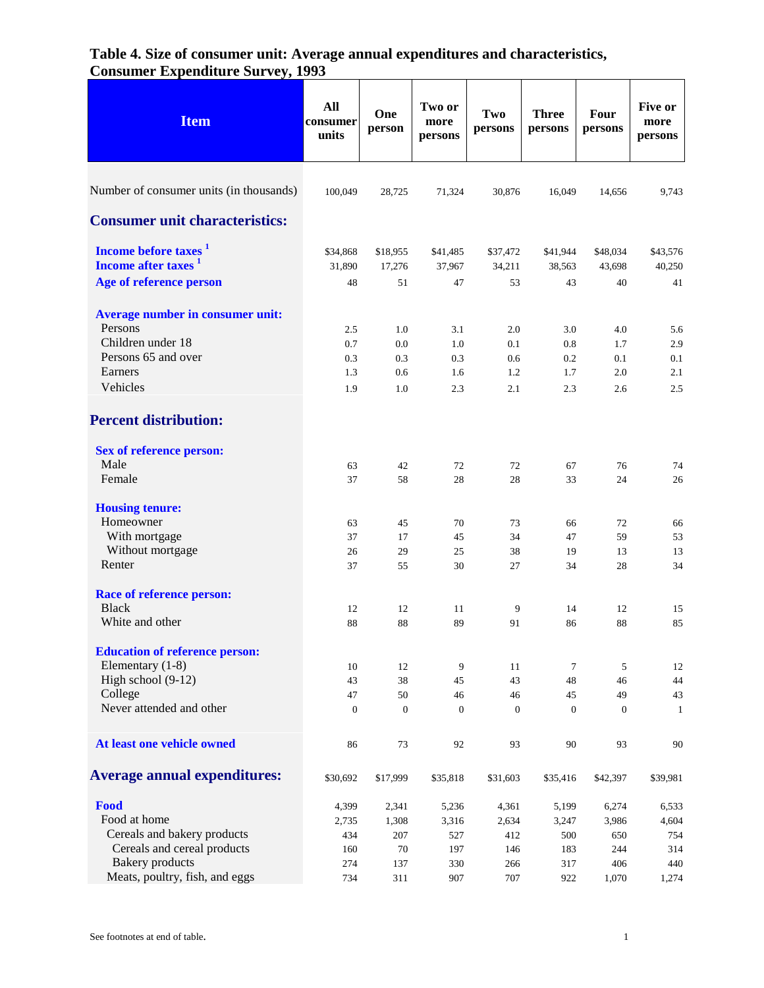| <b>Item</b>                                                         | All<br>consumer<br>units | One<br>person      | Two or<br>more<br>persons | Two<br>persons     | <b>Three</b><br>persons | <b>Four</b><br>persons | Five or<br>more<br>persons |
|---------------------------------------------------------------------|--------------------------|--------------------|---------------------------|--------------------|-------------------------|------------------------|----------------------------|
| Number of consumer units (in thousands)                             | 100,049                  | 28,725             | 71,324                    | 30,876             | 16,049                  | 14,656                 | 9,743                      |
| <b>Consumer unit characteristics:</b>                               |                          |                    |                           |                    |                         |                        |                            |
| Income before taxes <sup>1</sup><br>Income after taxes <sup>1</sup> | \$34,868<br>31,890       | \$18,955<br>17,276 | \$41,485<br>37,967        | \$37,472<br>34,211 | \$41,944<br>38,563      | \$48,034<br>43,698     | \$43,576<br>40,250         |
| Age of reference person                                             | 48                       | 51                 | 47                        | 53                 | 43                      | 40                     | 41                         |
| Average number in consumer unit:<br>Persons                         | 2.5                      | 1.0                | 3.1                       | 2.0                | 3.0                     | 4.0                    | 5.6                        |
| Children under 18                                                   | 0.7                      | 0.0                | 1.0                       | 0.1                | 0.8                     | 1.7                    | 2.9                        |
| Persons 65 and over                                                 | 0.3                      | 0.3                | 0.3                       | 0.6                | 0.2                     | 0.1                    | 0.1                        |
| Earners                                                             | 1.3                      | 0.6                | 1.6                       | 1.2                | 1.7                     | 2.0                    | 2.1                        |
| Vehicles                                                            | 1.9                      | 1.0                | 2.3                       | 2.1                | 2.3                     | 2.6                    | 2.5                        |
| <b>Percent distribution:</b>                                        |                          |                    |                           |                    |                         |                        |                            |
| <b>Sex of reference person:</b>                                     |                          |                    |                           |                    |                         |                        |                            |
| Male<br>Female                                                      | 63                       | 42                 | 72                        | 72                 | 67                      | 76                     | 74                         |
|                                                                     | 37                       | 58                 | 28                        | 28                 | 33                      | 24                     | 26                         |
| <b>Housing tenure:</b>                                              |                          |                    |                           |                    |                         |                        |                            |
| Homeowner                                                           | 63                       | 45                 | 70                        | 73                 | 66                      | 72                     | 66                         |
| With mortgage                                                       | 37                       | 17                 | 45                        | 34                 | 47                      | 59                     | 53                         |
| Without mortgage                                                    | 26                       | 29                 | 25                        | 38                 | 19                      | 13                     | 13                         |
| Renter                                                              | 37                       | 55                 | 30                        | 27                 | 34                      | 28                     | 34                         |
| <b>Race of reference person:</b>                                    |                          |                    |                           |                    |                         |                        |                            |
| <b>Black</b>                                                        | 12                       | 12                 | 11                        | 9                  | 14                      | 12                     | 15                         |
| White and other                                                     | 88                       | 88                 | 89                        | 91                 | 86                      | 88                     | 85                         |
| <b>Education of reference person:</b>                               |                          |                    |                           |                    |                         |                        |                            |
| Elementary (1-8)                                                    | 10                       | 12                 | 9                         | 11                 | $\tau$                  | 5                      | 12                         |
| High school (9-12)                                                  | 43                       | 38                 | 45                        | 43                 | 48                      | 46                     | 44                         |
| College                                                             | 47                       | 50                 | 46                        | 46                 | 45                      | 49                     | 43                         |
| Never attended and other                                            | $\boldsymbol{0}$         | $\mathbf{0}$       | $\mathbf{0}$              | $\mathbf{0}$       | $\mathbf{0}$            | $\mathbf{0}$           | 1                          |
| At least one vehicle owned                                          | 86                       | 73                 | 92                        | 93                 | 90                      | 93                     | 90                         |
| <b>Average annual expenditures:</b>                                 | \$30,692                 | \$17,999           | \$35,818                  | \$31,603           | \$35,416                | \$42,397               | \$39,981                   |
| Food                                                                | 4,399                    | 2,341              | 5,236                     | 4,361              | 5,199                   | 6,274                  | 6,533                      |
| Food at home                                                        | 2,735                    | 1,308              | 3,316                     | 2,634              | 3,247                   | 3,986                  | 4,604                      |
| Cereals and bakery products                                         | 434                      | 207                | 527                       | 412                | 500                     | 650                    | 754                        |
| Cereals and cereal products                                         | 160                      | 70                 | 197                       | 146                | 183                     | 244                    | 314                        |
| <b>Bakery</b> products                                              | 274                      | 137                | 330                       | 266                | 317                     | 406                    | 440                        |
| Meats, poultry, fish, and eggs                                      | 734                      | 311                | 907                       | 707                | 922                     | 1,070                  | 1,274                      |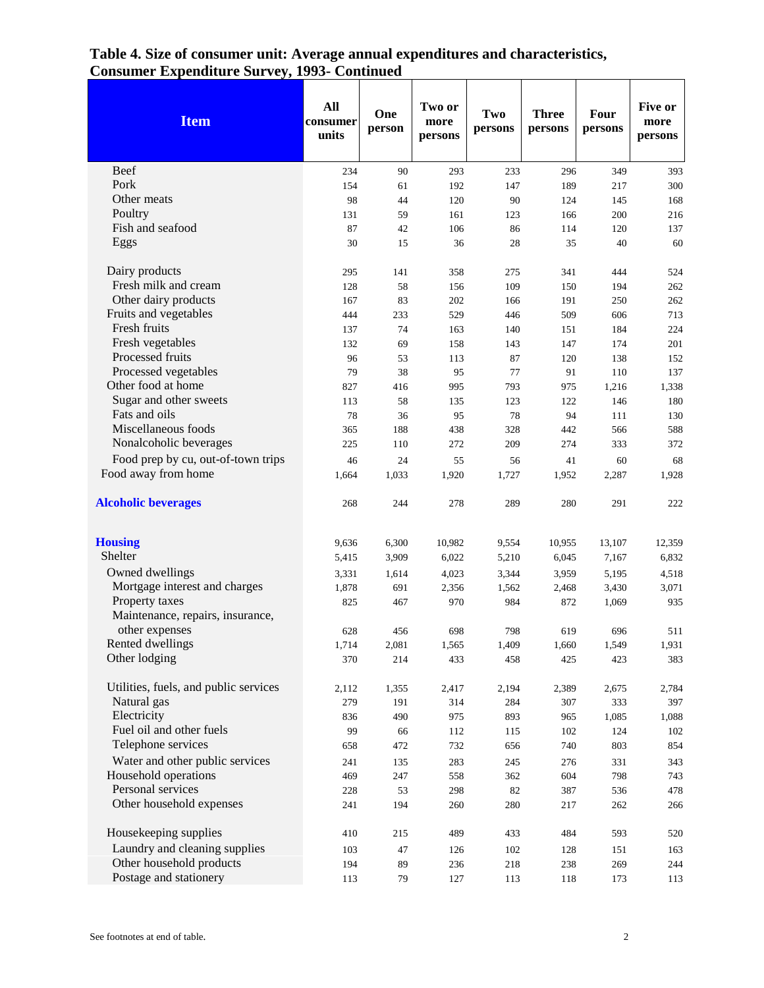| <b>Item</b>                           | All<br>consumer<br>units | One<br>person | Two or<br>more<br>persons | Two<br>persons | <b>Three</b><br>persons | Four<br>persons | Five or<br>more<br>persons |
|---------------------------------------|--------------------------|---------------|---------------------------|----------------|-------------------------|-----------------|----------------------------|
| <b>Beef</b>                           | 234                      | 90            | 293                       | 233            | 296                     | 349             | 393                        |
| Pork                                  | 154                      | 61            | 192                       | 147            | 189                     | 217             | 300                        |
| Other meats                           | 98                       | 44            | 120                       | 90             | 124                     | 145             | 168                        |
| Poultry                               | 131                      | 59            | 161                       | 123            | 166                     | 200             | 216                        |
| Fish and seafood                      | 87                       | 42            | 106                       | 86             | 114                     | 120             | 137                        |
| Eggs                                  | 30                       | 15            | 36                        | 28             | 35                      | 40              | 60                         |
| Dairy products                        | 295                      | 141           | 358                       | 275            | 341                     | 444             | 524                        |
| Fresh milk and cream                  | 128                      | 58            | 156                       | 109            | 150                     | 194             | 262                        |
| Other dairy products                  | 167                      | 83            | 202                       | 166            | 191                     | 250             | 262                        |
| Fruits and vegetables                 | 444                      | 233           | 529                       | 446            | 509                     | 606             | 713                        |
| Fresh fruits                          | 137                      | 74            | 163                       | 140            | 151                     | 184             | 224                        |
| Fresh vegetables                      | 132                      | 69            | 158                       | 143            | 147                     | 174             | 201                        |
| Processed fruits                      | 96                       | 53            | 113                       | 87             | 120                     | 138             | 152                        |
| Processed vegetables                  | 79                       | 38            | 95                        | 77             | 91                      | 110             | 137                        |
| Other food at home                    | 827                      | 416           | 995                       | 793            | 975                     | 1,216           | 1,338                      |
| Sugar and other sweets                | 113                      | 58            | 135                       | 123            | 122                     | 146             | 180                        |
| Fats and oils                         | 78                       | 36            | 95                        | 78             | 94                      | 111             | 130                        |
| Miscellaneous foods                   | 365                      | 188           | 438                       | 328            | 442                     | 566             | 588                        |
| Nonalcoholic beverages                | 225                      | 110           | 272                       | 209            | 274                     | 333             | 372                        |
| Food prep by cu, out-of-town trips    | 46                       | 24            | 55                        | 56             | 41                      | 60              | 68                         |
| Food away from home                   | 1,664                    | 1,033         | 1,920                     | 1,727          | 1,952                   | 2,287           | 1,928                      |
| <b>Alcoholic beverages</b>            | 268                      | 244           | 278                       | 289            | 280                     | 291             | 222                        |
| <b>Housing</b>                        | 9,636                    | 6,300         | 10,982                    | 9,554          | 10,955                  | 13,107          | 12,359                     |
| Shelter                               | 5,415                    | 3,909         | 6,022                     | 5,210          | 6,045                   | 7,167           | 6,832                      |
| Owned dwellings                       | 3,331                    | 1,614         | 4,023                     | 3,344          | 3,959                   | 5,195           | 4,518                      |
| Mortgage interest and charges         | 1,878                    | 691           | 2,356                     | 1,562          | 2,468                   | 3,430           | 3,071                      |
| Property taxes                        | 825                      | 467           | 970                       | 984            | 872                     | 1,069           | 935                        |
| Maintenance, repairs, insurance,      |                          |               |                           |                |                         |                 |                            |
| other expenses                        | 628                      | 456           | 698                       | 798            | 619                     | 696             | 511                        |
| Rented dwellings                      | 1,714                    | 2,081         | 1,565                     | 1,409          | 1,660                   | 1,549           | 1,931                      |
| Other lodging                         | 370                      | 214           | 433                       | 458            | 425                     | 423             | 383                        |
| Utilities, fuels, and public services | 2,112                    | 1,355         | 2,417                     | 2,194          | 2,389                   | 2,675           | 2,784                      |
| Natural gas                           | 279                      | 191           | 314                       | 284            | 307                     | 333             | 397                        |
| Electricity                           | 836                      | 490           | 975                       | 893            | 965                     | 1,085           | 1,088                      |
| Fuel oil and other fuels              | 99                       | 66            | 112                       | 115            | 102                     | 124             | 102                        |
| Telephone services                    | 658                      | 472           | 732                       | 656            | 740                     | 803             | 854                        |
| Water and other public services       | 241                      | 135           | 283                       | 245            | 276                     | 331             | 343                        |
| Household operations                  | 469                      | 247           | 558                       | 362            | 604                     | 798             | 743                        |
| Personal services                     | 228                      | 53            | 298                       | 82             | 387                     | 536             | 478                        |
| Other household expenses              | 241                      | 194           | 260                       | 280            | 217                     | 262             | 266                        |
| Housekeeping supplies                 | 410                      | 215           | 489                       | 433            | 484                     | 593             | 520                        |
| Laundry and cleaning supplies         | 103                      | 47            | 126                       | 102            | 128                     | 151             | 163                        |
| Other household products              | 194                      | 89            | 236                       | 218            | 238                     | 269             | 244                        |
| Postage and stationery                | 113                      | 79            | 127                       | 113            | 118                     | 173             | 113                        |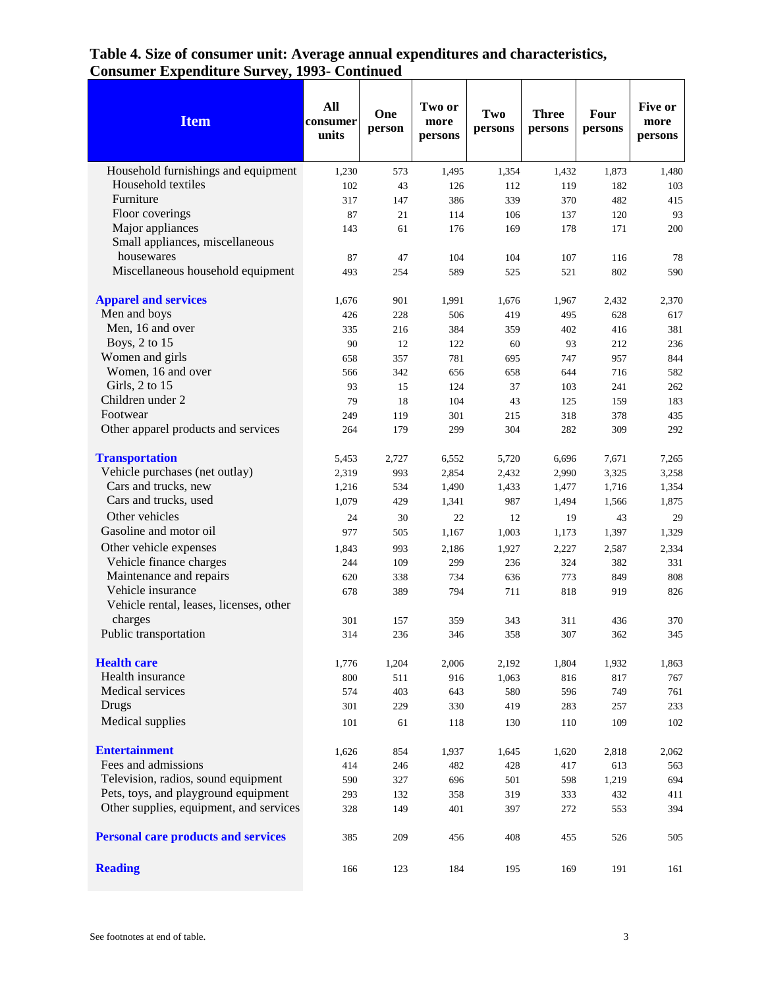| <b>Item</b>                                                  | All<br>consumer<br>units | One<br>person | Two or<br>more<br>persons | Two<br>persons | <b>Three</b><br>persons | Four<br>persons | Five or<br>more<br>persons |
|--------------------------------------------------------------|--------------------------|---------------|---------------------------|----------------|-------------------------|-----------------|----------------------------|
| Household furnishings and equipment                          | 1,230                    | 573           | 1,495                     | 1,354          | 1,432                   | 1,873           | 1,480                      |
| Household textiles                                           | 102                      | 43            | 126                       | 112            | 119                     | 182             | 103                        |
| Furniture                                                    | 317                      | 147           | 386                       | 339            | 370                     | 482             | 415                        |
| Floor coverings                                              | 87                       | 21            | 114                       | 106            | 137                     | 120             | 93                         |
| Major appliances                                             | 143                      | 61            | 176                       | 169            | 178                     | 171             | 200                        |
| Small appliances, miscellaneous                              |                          |               |                           |                |                         |                 |                            |
| housewares                                                   | 87                       | 47            | 104                       | 104            | 107                     | 116             | 78                         |
| Miscellaneous household equipment                            | 493                      | 254           | 589                       | 525            | 521                     | 802             | 590                        |
| <b>Apparel and services</b>                                  | 1,676                    | 901           | 1,991                     | 1,676          | 1,967                   | 2,432           | 2,370                      |
| Men and boys                                                 | 426                      | 228           | 506                       | 419            | 495                     | 628             | 617                        |
| Men, 16 and over                                             | 335                      | 216           | 384                       | 359            | 402                     | 416             | 381                        |
| Boys, 2 to 15                                                | 90                       | 12            | 122                       | 60             | 93                      | 212             | 236                        |
| Women and girls                                              | 658                      | 357           | 781                       | 695            | 747                     | 957             | 844                        |
| Women, 16 and over                                           | 566                      | 342           | 656                       | 658            | 644                     | 716             | 582                        |
| Girls, 2 to 15                                               | 93                       | 15            | 124                       | 37             | 103                     | 241             | 262                        |
| Children under 2                                             | 79                       | 18            | 104                       | 43             | 125                     | 159             | 183                        |
| Footwear                                                     | 249                      | 119           | 301                       | 215            | 318                     | 378             | 435                        |
| Other apparel products and services                          | 264                      | 179           | 299                       | 304            | 282                     | 309             | 292                        |
| <b>Transportation</b>                                        | 5,453                    | 2,727         | 6,552                     | 5,720          | 6,696                   | 7,671           | 7,265                      |
| Vehicle purchases (net outlay)                               | 2,319                    | 993           | 2,854                     | 2,432          | 2,990                   | 3,325           | 3,258                      |
| Cars and trucks, new                                         | 1,216                    | 534           | 1,490                     | 1,433          | 1,477                   | 1,716           | 1,354                      |
| Cars and trucks, used                                        | 1,079                    | 429           | 1,341                     | 987            | 1,494                   | 1,566           | 1,875                      |
| Other vehicles                                               | 24                       | 30            | 22                        | 12             | 19                      | 43              | 29                         |
| Gasoline and motor oil                                       | 977                      | 505           | 1,167                     | 1,003          | 1,173                   | 1,397           | 1,329                      |
| Other vehicle expenses                                       | 1,843                    | 993           | 2,186                     | 1,927          | 2,227                   | 2,587           | 2,334                      |
| Vehicle finance charges                                      | 244                      | 109           | 299                       | 236            | 324                     | 382             | 331                        |
| Maintenance and repairs                                      | 620                      | 338           | 734                       | 636            | 773                     | 849             | 808                        |
| Vehicle insurance<br>Vehicle rental, leases, licenses, other | 678                      | 389           | 794                       | 711            | 818                     | 919             | 826                        |
| charges                                                      | 301                      | 157           | 359                       | 343            | 311                     | 436             | 370                        |
| Public transportation                                        | 314                      | 236           | 346                       | 358            | 307                     | 362             | 345                        |
| <b>Health care</b>                                           | 1,776                    | 1,204         | 2,006                     | 2,192          | 1,804                   | 1,932           | 1,863                      |
| Health insurance                                             | 800                      | 511           | 916                       | 1,063          | 816                     | 817             | 767                        |
| Medical services                                             | 574                      | 403           | 643                       | 580            | 596                     | 749             | 761                        |
| Drugs                                                        | 301                      | 229           | 330                       | 419            | 283                     | 257             | 233                        |
| Medical supplies                                             | 101                      | 61            | 118                       | 130            | 110                     | 109             | 102                        |
| <b>Entertainment</b>                                         | 1,626                    | 854           | 1,937                     | 1,645          | 1,620                   | 2,818           | 2,062                      |
| Fees and admissions                                          | 414                      | 246           | 482                       | 428            | 417                     | 613             | 563                        |
| Television, radios, sound equipment                          | 590                      | 327           | 696                       | 501            | 598                     | 1,219           | 694                        |
| Pets, toys, and playground equipment                         | 293                      | 132           | 358                       | 319            | 333                     | 432             | 411                        |
| Other supplies, equipment, and services                      | 328                      | 149           | 401                       | 397            | 272                     | 553             | 394                        |
| <b>Personal care products and services</b>                   | 385                      | 209           | 456                       | 408            | 455                     | 526             | 505                        |
| <b>Reading</b>                                               | 166                      | 123           | 184                       | 195            | 169                     | 191             | 161                        |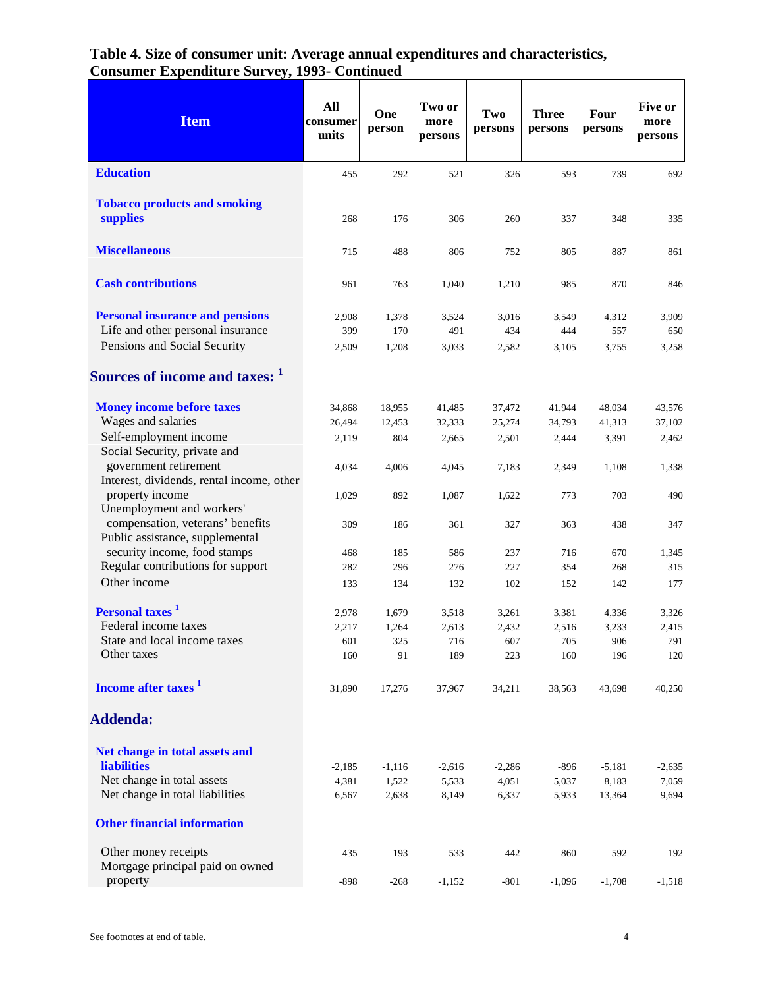| <b>Item</b>                                                                 | All<br>consumer<br>units | One<br>person | Two or<br>more<br>persons | Two<br>persons | <b>Three</b><br>persons | Four<br>persons | Five or<br>more<br>persons |
|-----------------------------------------------------------------------------|--------------------------|---------------|---------------------------|----------------|-------------------------|-----------------|----------------------------|
| <b>Education</b>                                                            | 455                      | 292           | 521                       | 326            | 593                     | 739             | 692                        |
| <b>Tobacco products and smoking</b><br>supplies                             | 268                      | 176           | 306                       | 260            | 337                     | 348             | 335                        |
| <b>Miscellaneous</b>                                                        | 715                      | 488           | 806                       | 752            | 805                     | 887             | 861                        |
| <b>Cash contributions</b>                                                   | 961                      | 763           | 1,040                     | 1,210          | 985                     | 870             | 846                        |
| <b>Personal insurance and pensions</b><br>Life and other personal insurance | 2,908<br>399             | 1,378<br>170  | 3,524<br>491              | 3,016<br>434   | 3,549<br>444            | 4,312<br>557    | 3,909<br>650               |
| Pensions and Social Security                                                | 2,509                    | 1,208         | 3,033                     | 2,582          | 3,105                   | 3,755           | 3,258                      |
| Sources of income and taxes: 1                                              |                          |               |                           |                |                         |                 |                            |
| <b>Money income before taxes</b>                                            | 34,868                   | 18,955        | 41,485                    | 37,472         | 41,944                  | 48,034          | 43,576                     |
| Wages and salaries<br>Self-employment income                                | 26,494                   | 12,453        | 32,333                    | 25,274         | 34,793                  | 41,313          | 37,102                     |
| Social Security, private and                                                | 2,119                    | 804           | 2,665                     | 2,501          | 2,444                   | 3,391           | 2,462                      |
| government retirement<br>Interest, dividends, rental income, other          | 4,034                    | 4,006         | 4,045                     | 7,183          | 2,349                   | 1,108           | 1,338                      |
| property income<br>Unemployment and workers'                                | 1,029                    | 892           | 1,087                     | 1,622          | 773                     | 703             | 490                        |
| compensation, veterans' benefits<br>Public assistance, supplemental         | 309                      | 186           | 361                       | 327            | 363                     | 438             | 347                        |
| security income, food stamps                                                | 468                      | 185           | 586                       | 237            | 716                     | 670             | 1,345                      |
| Regular contributions for support                                           | 282                      | 296           | 276                       | 227            | 354                     | 268             | 315                        |
| Other income                                                                | 133                      | 134           | 132                       | 102            | 152                     | 142             | 177                        |
| Personal taxes <sup>1</sup>                                                 | 2,978                    | 1,679         | 3,518                     | 3,261          | 3,381                   | 4,336           | 3,326                      |
| Federal income taxes                                                        | 2,217                    | 1,264         | 2,613                     | 2,432          | 2,516                   | 3,233           | 2,415                      |
| State and local income taxes                                                | 601                      | 325           | 716                       | 607            | 705                     | 906             | 791                        |
| Other taxes                                                                 | 160                      | 91            | 189                       | 223            | 160                     | 196             | 120                        |
| Income after taxes <sup>1</sup>                                             | 31,890                   | 17,276        | 37,967                    | 34,211         | 38,563                  | 43,698          | 40,250                     |
| <b>Addenda:</b>                                                             |                          |               |                           |                |                         |                 |                            |
| Net change in total assets and                                              |                          |               |                           |                |                         |                 |                            |
| <b>liabilities</b>                                                          | $-2,185$                 | $-1,116$      | $-2,616$                  | $-2,286$       | $-896$                  | $-5,181$        | $-2,635$                   |
| Net change in total assets                                                  | 4,381                    | 1,522         | 5,533                     | 4,051          | 5,037                   | 8,183           | 7,059                      |
| Net change in total liabilities                                             | 6,567                    | 2,638         | 8,149                     | 6,337          | 5,933                   | 13,364          | 9,694                      |
| <b>Other financial information</b>                                          |                          |               |                           |                |                         |                 |                            |
| Other money receipts<br>Mortgage principal paid on owned                    | 435                      | 193           | 533                       | 442            | 860                     | 592             | 192                        |
| property                                                                    | $-898$                   | $-268$        | $-1,152$                  | $-801$         | $-1,096$                | $-1,708$        | $-1,518$                   |